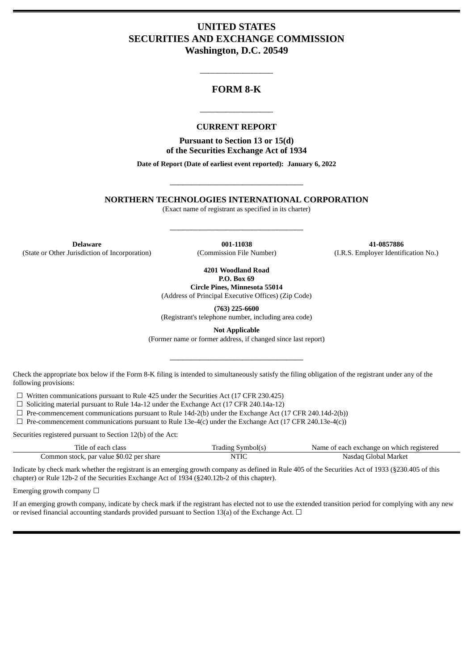# **UNITED STATES SECURITIES AND EXCHANGE COMMISSION Washington, D.C. 20549**

## **FORM 8-K**

\_\_\_\_\_\_\_\_\_\_\_\_\_\_\_\_\_

### **CURRENT REPORT**

\_\_\_\_\_\_\_\_\_\_\_\_\_\_\_\_\_

**Pursuant to Section 13 or 15(d) of the Securities Exchange Act of 1934**

**Date of Report (Date of earliest event reported): January 6, 2022**

**NORTHERN TECHNOLOGIES INTERNATIONAL CORPORATION**

\_\_\_\_\_\_\_\_\_\_\_\_\_\_\_\_\_\_\_\_\_\_\_\_\_\_\_\_\_\_\_

(Exact name of registrant as specified in its charter)

\_\_\_\_\_\_\_\_\_\_\_\_\_\_\_\_\_\_\_\_\_\_\_\_\_\_\_\_\_\_\_

**Delaware 001-11038 41-0857886** (State or Other Jurisdiction of Incorporation) (Commission File Number) (I.R.S. Employer Identification No.)

**4201 Woodland Road P.O. Box 69**

**Circle Pines, Minnesota 55014** (Address of Principal Executive Offices) (Zip Code)

**(763) 225-6600** (Registrant's telephone number, including area code)

**Not Applicable**

(Former name or former address, if changed since last report)

\_\_\_\_\_\_\_\_\_\_\_\_\_\_\_\_\_\_\_\_\_\_\_\_\_\_\_\_\_\_\_

Check the appropriate box below if the Form 8-K filing is intended to simultaneously satisfy the filing obligation of the registrant under any of the following provisions:

 $\Box$  Written communications pursuant to Rule 425 under the Securities Act (17 CFR 230.425)

 $\Box$  Soliciting material pursuant to Rule 14a-12 under the Exchange Act (17 CFR 240.14a-12)

 $\Box$  Pre-commencement communications pursuant to Rule 14d-2(b) under the Exchange Act (17 CFR 240.14d-2(b))

 $\Box$  Pre-commencement communications pursuant to Rule 13e-4(c) under the Exchange Act (17 CFR 240.13e-4(c))

Securities registered pursuant to Section 12(b) of the Act:

| Title of each class                      | Trading Symbol(s) | Name of each exchange on which registered |
|------------------------------------------|-------------------|-------------------------------------------|
| Common stock, par value \$0.02 per share | NTIC              | Nasdag Global Market                      |

Indicate by check mark whether the registrant is an emerging growth company as defined in Rule 405 of the Securities Act of 1933 (§230.405 of this chapter) or Rule 12b-2 of the Securities Exchange Act of 1934 (§240.12b-2 of this chapter).

Emerging growth company  $\Box$ 

If an emerging growth company, indicate by check mark if the registrant has elected not to use the extended transition period for complying with any new or revised financial accounting standards provided pursuant to Section 13(a) of the Exchange Act.  $\Box$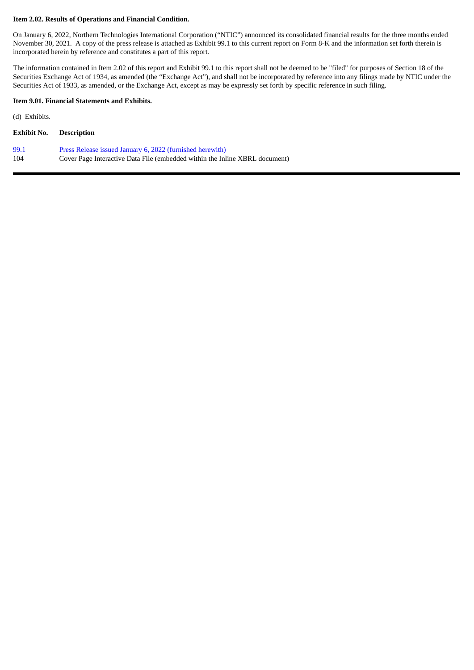#### **Item 2.02. Results of Operations and Financial Condition.**

On January 6, 2022, Northern Technologies International Corporation ("NTIC") announced its consolidated financial results for the three months ended November 30, 2021. A copy of the press release is attached as Exhibit 99.1 to this current report on Form 8-K and the information set forth therein is incorporated herein by reference and constitutes a part of this report.

The information contained in Item 2.02 of this report and Exhibit 99.1 to this report shall not be deemed to be "filed" for purposes of Section 18 of the Securities Exchange Act of 1934, as amended (the "Exchange Act"), and shall not be incorporated by reference into any filings made by NTIC under the Securities Act of 1933, as amended, or the Exchange Act, except as may be expressly set forth by specific reference in such filing.

### **Item 9.01. Financial Statements and Exhibits.**

(d) Exhibits.

| <b>Exhibit No.</b> | <b>Description</b>                                                          |
|--------------------|-----------------------------------------------------------------------------|
| <u>99.1</u>        | Press Release issued January 6, 2022 (furnished herewith)                   |
| 104                | Cover Page Interactive Data File (embedded within the Inline XBRL document) |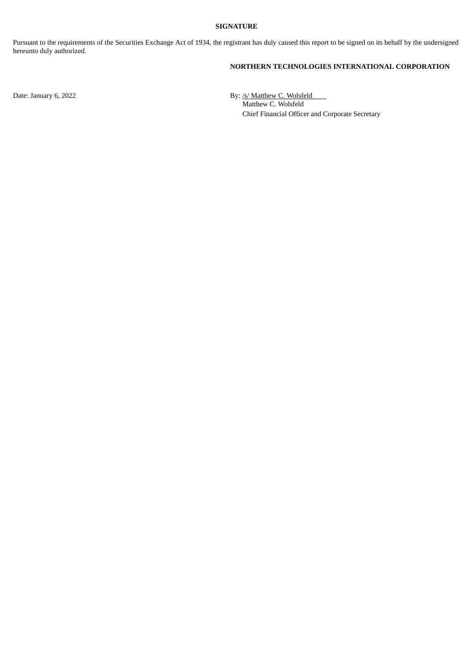#### **SIGNATURE**

Pursuant to the requirements of the Securities Exchange Act of 1934, the registrant has duly caused this report to be signed on its behalf by the undersigned hereunto duly authorized.

### **NORTHERN TECHNOLOGIES INTERNATIONAL CORPORATION**

Date: January 6, 2022 By: /s/ Matthew C. Wolsfeld Matthew C. Wolsfeld Chief Financial Officer and Corporate Secretary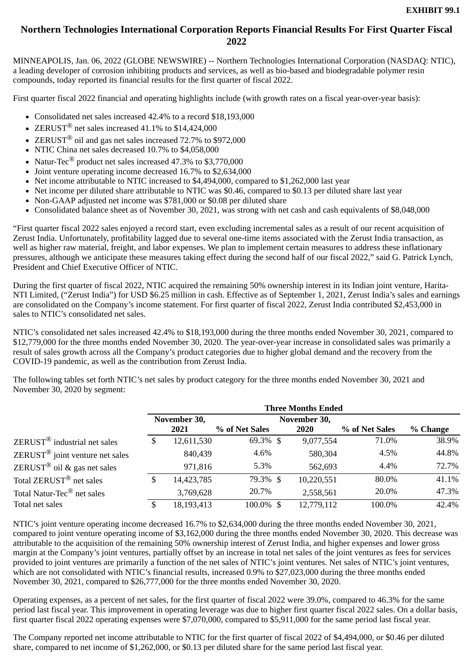# <span id="page-3-0"></span>**Northern Technologies International Corporation Reports Financial Results For First Quarter Fiscal 2022**

MINNEAPOLIS, Jan. 06, 2022 (GLOBE NEWSWIRE) -- Northern Technologies International Corporation (NASDAQ: NTIC), a leading developer of corrosion inhibiting products and services, as well as bio-based and biodegradable polymer resin compounds, today reported its financial results for the first quarter of fiscal 2022.

First quarter fiscal 2022 financial and operating highlights include (with growth rates on a fiscal year-over-year basis):

- Consolidated net sales increased 42.4% to a record \$18,193,000
- ZERUST $^{\circledR}$  net sales increased 41.1% to \$14,424,000
- ZERUST<sup>®</sup> oil and gas net sales increased 72.7% to \$972,000
- NTIC China net sales decreased  $10.7\%$  to \$4,058,000
- Natur-Tec<sup>®</sup> product net sales increased 47.3% to \$3,770,000
- Joint venture operating income decreased 16.7% to \$2,634,000
- Net income attributable to NTIC increased to \$4,494,000, compared to \$1,262,000 last year
- Net income per diluted share attributable to NTIC was \$0.46, compared to \$0.13 per diluted share last year
- Non-GAAP adjusted net income was \$781,000 or \$0.08 per diluted share
- Consolidated balance sheet as of November 30, 2021, was strong with net cash and cash equivalents of \$8,048,000

"First quarter fiscal 2022 sales enjoyed a record start, even excluding incremental sales as a result of our recent acquisition of Zerust India. Unfortunately, profitability lagged due to several one-time items associated with the Zerust India transaction, as well as higher raw material, freight, and labor expenses. We plan to implement certain measures to address these inflationary pressures, although we anticipate these measures taking effect during the second half of our fiscal 2022," said G. Patrick Lynch, President and Chief Executive Officer of NTIC.

During the first quarter of fiscal 2022, NTIC acquired the remaining 50% ownership interest in its Indian joint venture, Harita-NTI Limited, ("Zerust India") for USD \$6.25 million in cash. Effective as of September 1, 2021, Zerust India's sales and earnings are consolidated on the Company's income statement. For first quarter of fiscal 2022, Zerust India contributed \$2,453,000 in sales to NTIC's consolidated net sales.

NTIC's consolidated net sales increased 42.4% to \$18,193,000 during the three months ended November 30, 2021, compared to \$12,779,000 for the three months ended November 30, 2020. The year-over-year increase in consolidated sales was primarily a result of sales growth across all the Company's product categories due to higher global demand and the recovery from the COVID-19 pandemic, as well as the contribution from Zerust India.

The following tables set forth NTIC's net sales by product category for the three months ended November 30, 2021 and November 30, 2020 by segment:

|                                                 |              |            |                | <b>Three Months Ended</b> |                |          |
|-------------------------------------------------|--------------|------------|----------------|---------------------------|----------------|----------|
|                                                 | November 30, |            |                | November 30,              |                |          |
|                                                 |              | 2021       | % of Net Sales | <b>2020</b>               | % of Net Sales | % Change |
| $ZERUST^{\circledR}$ industrial net sales       | \$           | 12,611,530 | 69.3% \$       | 9,077,554                 | 71.0%          | 38.9%    |
| $ZERUST^{\circledR}$ joint venture net sales    |              | 840,439    | 4.6%           | 580,304                   | 4.5%           | 44.8%    |
| $\text{ZERUST}^{\circledR}$ oil & gas net sales |              | 971,816    | 5.3%           | 562,693                   | $4.4\%$        | 72.7%    |
| Total ZERUST <sup>®</sup> net sales             | \$           | 14,423,785 | 79.3% \$       | 10,220,551                | 80.0%          | 41.1%    |
| Total Natur-Tec <sup>®</sup> net sales          |              | 3,769,628  | 20.7%          | 2,558,561                 | 20.0%          | 47.3%    |
| Total net sales                                 | S            | 18,193,413 | 100.0% \$      | 12,779,112                | 100.0%         | 42.4%    |

NTIC's joint venture operating income decreased 16.7% to \$2,634,000 during the three months ended November 30, 2021, compared to joint venture operating income of \$3,162,000 during the three months ended November 30, 2020. This decrease was attributable to the acquisition of the remaining 50% ownership interest of Zerust India, and higher expenses and lower gross margin at the Company's joint ventures, partially offset by an increase in total net sales of the joint ventures as fees for services provided to joint ventures are primarily a function of the net sales of NTIC's joint ventures. Net sales of NTIC's joint ventures, which are not consolidated with NTIC's financial results, increased 0.9% to \$27,023,000 during the three months ended November 30, 2021, compared to \$26,777,000 for the three months ended November 30, 2020.

Operating expenses, as a percent of net sales, for the first quarter of fiscal 2022 were 39.0%, compared to 46.3% for the same period last fiscal year. This improvement in operating leverage was due to higher first quarter fiscal 2022 sales. On a dollar basis, first quarter fiscal 2022 operating expenses were \$7,070,000, compared to \$5,911,000 for the same period last fiscal year.

The Company reported net income attributable to NTIC for the first quarter of fiscal 2022 of \$4,494,000, or \$0.46 per diluted share, compared to net income of \$1,262,000, or \$0.13 per diluted share for the same period last fiscal year.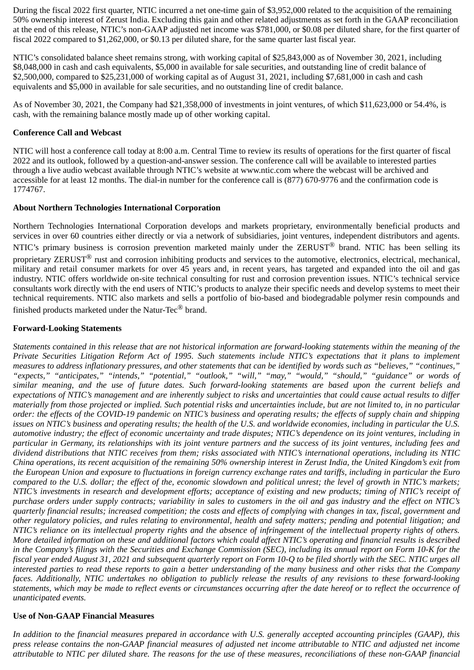During the fiscal 2022 first quarter, NTIC incurred a net one-time gain of \$3,952,000 related to the acquisition of the remaining 50% ownership interest of Zerust India. Excluding this gain and other related adjustments as set forth in the GAAP reconciliation at the end of this release, NTIC's non-GAAP adjusted net income was \$781,000, or \$0.08 per diluted share, for the first quarter of fiscal 2022 compared to \$1,262,000, or \$0.13 per diluted share, for the same quarter last fiscal year.

NTIC's consolidated balance sheet remains strong, with working capital of \$25,843,000 as of November 30, 2021, including \$8,048,000 in cash and cash equivalents, \$5,000 in available for sale securities, and outstanding line of credit balance of \$2,500,000, compared to \$25,231,000 of working capital as of August 31, 2021, including \$7,681,000 in cash and cash equivalents and \$5,000 in available for sale securities, and no outstanding line of credit balance.

As of November 30, 2021, the Company had \$21,358,000 of investments in joint ventures, of which \$11,623,000 or 54.4%, is cash, with the remaining balance mostly made up of other working capital.

## **Conference Call and Webcast**

NTIC will host a conference call today at 8:00 a.m. Central Time to review its results of operations for the first quarter of fiscal 2022 and its outlook, followed by a question-and-answer session. The conference call will be available to interested parties through a live audio webcast available through NTIC's website at www.ntic.com where the webcast will be archived and accessible for at least 12 months. The dial-in number for the conference call is (877) 670-9776 and the confirmation code is 1774767.

## **About Northern Technologies International Corporation**

Northern Technologies International Corporation develops and markets proprietary, environmentally beneficial products and services in over 60 countries either directly or via a network of subsidiaries, joint ventures, independent distributors and agents. NTIC's primary business is corrosion prevention marketed mainly under the ZERUST® brand. NTIC has been selling its proprietary ZERUST<sup>®</sup> rust and corrosion inhibiting products and services to the automotive, electronics, electrical, mechanical, military and retail consumer markets for over 45 years and, in recent years, has targeted and expanded into the oil and gas industry. NTIC offers worldwide on-site technical consulting for rust and corrosion prevention issues. NTIC's technical service consultants work directly with the end users of NTIC's products to analyze their specific needs and develop systems to meet their technical requirements. NTIC also markets and sells a portfolio of bio-based and biodegradable polymer resin compounds and finished products marketed under the Natur-Tec® brand.

# **Forward-Looking Statements**

*Statements contained in this release that are not historical information are forward-looking statements within the meaning of the Private Securities Litigation Reform Act of 1995. Such statements include NTIC's expectations that it plans to implement measures to address inflationary pressures, and other statements that can be identified by words such as "believes," "continues," "expects," "anticipates," "intends," "potential," "outlook," "will," "may," "would," "should," "guidance" or words of similar meaning, and the use of future dates. Such forward-looking statements are based upon the current beliefs and expectations of NTIC's management and are inherently subject to risks and uncertainties that could cause actual results to differ materially from those projected or implied. Such potential risks and uncertainties include, but are not limited to, in no particular order: the effects of the COVID-19 pandemic on NTIC's business and operating results; the effects of supply chain and shipping issues on NTIC's business and operating results; the health of the U.S. and worldwide economies, including in particular the U.S. automotive industry; the effect of economic uncertainty and trade disputes; NTIC's dependence on its joint ventures, including in particular in Germany, its relationships with its joint venture partners and the success of its joint ventures, including fees and dividend distributions that NTIC receives from them; risks associated with NTIC's international operations, including its NTIC China operations, its recent acquisition of the remaining 50% ownership interest in Zerust India, the United Kingdom's exit from the European Union and exposure to fluctuations in foreign currency exchange rates and tariffs, including in particular the Euro compared to the U.S. dollar; the effect of the, economic slowdown and political unrest; the level of growth in NTIC's markets; NTIC's investments in research and development efforts; acceptance of existing and new products; timing of NTIC's receipt of purchase orders under supply contracts; variability in sales to customers in the oil and gas industry and the effect on NTIC's quarterly financial results; increased competition; the costs and effects of complying with changes in tax, fiscal, government and other regulatory policies, and rules relating to environmental, health and safety matters; pending and potential litigation; and NTIC's reliance on its intellectual property rights and the absence of infringement of the intellectual property rights of others. More detailed information on these and additional factors which could affect NTIC's operating and financial results is described in the Company's filings with the Securities and Exchange Commission (SEC), including its annual report on Form 10-K for the fiscal year ended August 31, 2021 and subsequent quarterly report on Form 10-Q to be filed shortly with the SEC. NTIC urges all interested parties to read these reports to gain a better understanding of the many business and other risks that the Company faces. Additionally, NTIC undertakes no obligation to publicly release the results of any revisions to these forward-looking statements, which may be made to reflect events or circumstances occurring after the date hereof or to reflect the occurrence of unanticipated events.*

# **Use of Non-GAAP Financial Measures**

*In addition to the financial measures prepared in accordance with U.S. generally accepted accounting principles (GAAP), this press release contains the non-GAAP financial measures of adjusted net income attributable to NTIC and adjusted net income attributable to NTIC per diluted share. The reasons for the use of these measures, reconciliations of these non-GAAP financial*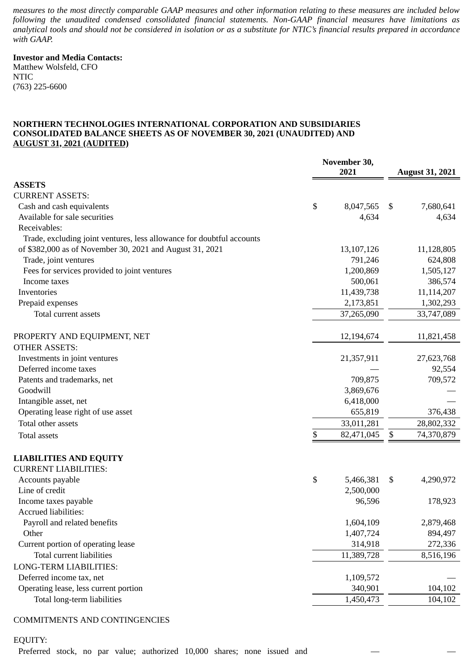*measures to the most directly comparable GAAP measures and other information relating to these measures are included below following the unaudited condensed consolidated financial statements. Non-GAAP financial measures have limitations as analytical tools and should not be considered in isolation or as a substitute for NTIC's financial results prepared in accordance with GAAP.*

# **Investor and Media Contacts:**

Matthew Wolsfeld, CFO NTIC (763) 225-6600

### **NORTHERN TECHNOLOGIES INTERNATIONAL CORPORATION AND SUBSIDIARIES CONSOLIDATED BALANCE SHEETS AS OF NOVEMBER 30, 2021 (UNAUDITED) AND AUGUST 31, 2021 (AUDITED)**

|                                                                       | November 30,<br>2021 | <b>August 31, 2021</b> |
|-----------------------------------------------------------------------|----------------------|------------------------|
| <b>ASSETS</b>                                                         |                      |                        |
| <b>CURRENT ASSETS:</b>                                                |                      |                        |
| Cash and cash equivalents                                             | \$<br>8,047,565      | \$<br>7,680,641        |
| Available for sale securities                                         | 4,634                | 4,634                  |
| Receivables:                                                          |                      |                        |
| Trade, excluding joint ventures, less allowance for doubtful accounts |                      |                        |
| of \$382,000 as of November 30, 2021 and August 31, 2021              | 13,107,126           | 11,128,805             |
| Trade, joint ventures                                                 | 791,246              | 624,808                |
| Fees for services provided to joint ventures                          | 1,200,869            | 1,505,127              |
| Income taxes                                                          | 500,061              | 386,574                |
| Inventories                                                           | 11,439,738           | 11,114,207             |
| Prepaid expenses                                                      | 2,173,851            | 1,302,293              |
| Total current assets                                                  | 37,265,090           | 33,747,089             |
|                                                                       |                      |                        |
| PROPERTY AND EQUIPMENT, NET                                           | 12,194,674           | 11,821,458             |
| <b>OTHER ASSETS:</b>                                                  |                      |                        |
| Investments in joint ventures                                         | 21,357,911           | 27,623,768             |
| Deferred income taxes                                                 |                      | 92,554                 |
| Patents and trademarks, net                                           | 709,875              | 709,572                |
| Goodwill                                                              | 3,869,676            |                        |
| Intangible asset, net                                                 | 6,418,000            |                        |
| Operating lease right of use asset                                    | 655,819              | 376,438                |
| Total other assets                                                    | 33,011,281           | 28,802,332             |
| <b>Total assets</b>                                                   | \$<br>82,471,045     | \$<br>74,370,879       |
| <b>LIABILITIES AND EQUITY</b>                                         |                      |                        |
| <b>CURRENT LIABILITIES:</b>                                           |                      |                        |
| Accounts payable                                                      | \$<br>5,466,381      | \$<br>4,290,972        |
| Line of credit                                                        | 2,500,000            |                        |
| Income taxes payable                                                  | 96,596               | 178,923                |
| Accrued liabilities:                                                  |                      |                        |
| Payroll and related benefits                                          | 1,604,109            | 2,879,468              |
| Other                                                                 | 1,407,724            | 894,497                |
| Current portion of operating lease                                    | 314,918              | 272,336                |
| <b>Total current liabilities</b>                                      | 11,389,728           | 8,516,196              |
| LONG-TERM LIABILITIES:                                                |                      |                        |
| Deferred income tax, net                                              | 1,109,572            |                        |
| Operating lease, less current portion                                 | 340,901              | 104,102                |
| Total long-term liabilities                                           | 1,450,473            | 104,102                |
|                                                                       |                      |                        |

## COMMITMENTS AND CONTINGENCIES

EQUITY:

Preferred stock, no par value; authorized 10,000 shares; none issued and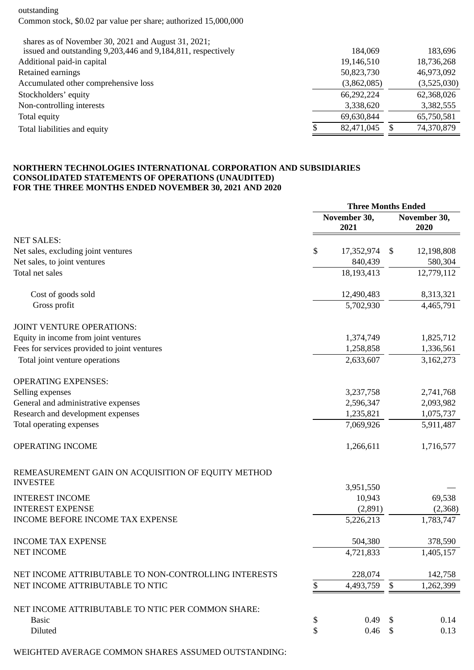outstanding Common stock, \$0.02 par value per share; authorized 15,000,000

| shares as of November 30, 2021 and August 31, 2021;          |             |             |
|--------------------------------------------------------------|-------------|-------------|
| issued and outstanding 9,203,446 and 9,184,811, respectively | 184,069     | 183,696     |
| Additional paid-in capital                                   | 19,146,510  | 18,736,268  |
| Retained earnings                                            | 50,823,730  | 46,973,092  |
| Accumulated other comprehensive loss                         | (3,862,085) | (3,525,030) |
| Stockholders' equity                                         | 66,292,224  | 62,368,026  |
| Non-controlling interests                                    | 3,338,620   | 3,382,555   |
| Total equity                                                 | 69,630,844  | 65,750,581  |
| Total liabilities and equity                                 | 82,471,045  | 74,370,879  |
|                                                              |             |             |

### **NORTHERN TECHNOLOGIES INTERNATIONAL CORPORATION AND SUBSIDIARIES CONSOLIDATED STATEMENTS OF OPERATIONS (UNAUDITED) FOR THE THREE MONTHS ENDED NOVEMBER 30, 2021 AND 2020**

|                                                                       | <b>Three Months Ended</b> |                      |    |                      |
|-----------------------------------------------------------------------|---------------------------|----------------------|----|----------------------|
|                                                                       |                           | November 30,<br>2021 |    | November 30,<br>2020 |
| <b>NET SALES:</b>                                                     |                           |                      |    |                      |
| Net sales, excluding joint ventures                                   | \$                        | 17,352,974           | \$ | 12,198,808           |
| Net sales, to joint ventures                                          |                           | 840,439              |    | 580,304              |
| Total net sales                                                       |                           | 18,193,413           |    | 12,779,112           |
| Cost of goods sold                                                    |                           | 12,490,483           |    | 8,313,321            |
| Gross profit                                                          |                           | 5,702,930            |    | 4,465,791            |
| JOINT VENTURE OPERATIONS:                                             |                           |                      |    |                      |
| Equity in income from joint ventures                                  |                           | 1,374,749            |    | 1,825,712            |
| Fees for services provided to joint ventures                          |                           | 1,258,858            |    | 1,336,561            |
| Total joint venture operations                                        |                           | 2,633,607            |    | 3,162,273            |
| <b>OPERATING EXPENSES:</b>                                            |                           |                      |    |                      |
| Selling expenses                                                      |                           | 3,237,758            |    | 2,741,768            |
| General and administrative expenses                                   |                           | 2,596,347            |    | 2,093,982            |
| Research and development expenses                                     |                           | 1,235,821            |    | 1,075,737            |
| Total operating expenses                                              |                           | 7,069,926            |    | 5,911,487            |
| OPERATING INCOME                                                      |                           | 1,266,611            |    | 1,716,577            |
| REMEASUREMENT GAIN ON ACQUISITION OF EQUITY METHOD<br><b>INVESTEE</b> |                           |                      |    |                      |
|                                                                       |                           | 3,951,550            |    |                      |
| <b>INTEREST INCOME</b>                                                |                           | 10,943               |    | 69,538               |
| <b>INTEREST EXPENSE</b>                                               |                           | (2,891)              |    | (2,368)              |
| <b>INCOME BEFORE INCOME TAX EXPENSE</b>                               |                           | 5,226,213            |    | 1,783,747            |
| <b>INCOME TAX EXPENSE</b>                                             |                           | 504,380              |    | 378,590              |
| <b>NET INCOME</b>                                                     |                           | 4,721,833            |    | 1,405,157            |
| NET INCOME ATTRIBUTABLE TO NON-CONTROLLING INTERESTS                  |                           | 228,074              |    | 142,758              |
| NET INCOME ATTRIBUTABLE TO NTIC                                       | \$                        | 4,493,759            | \$ | 1,262,399            |
| NET INCOME ATTRIBUTABLE TO NTIC PER COMMON SHARE:                     |                           |                      |    |                      |
| <b>Basic</b>                                                          | \$                        | 0.49                 | -S | 0.14                 |
| Diluted                                                               | \$                        | 0.46 <sup>5</sup>    |    | 0.13                 |
| WEIGHTED AVERAGE COMMON SHARES ASSUMED OUTSTANDING:                   |                           |                      |    |                      |